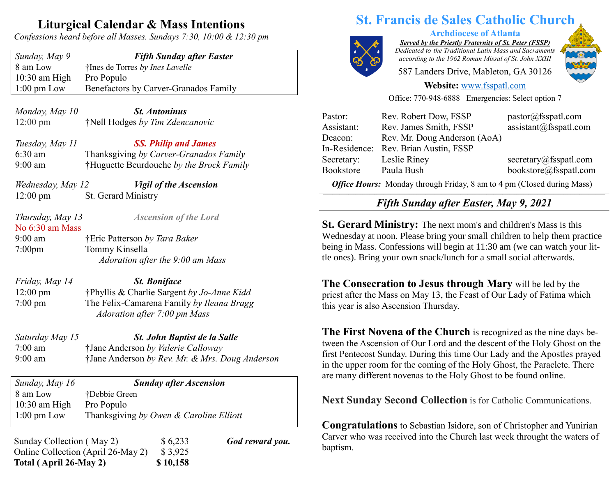## **Liturgical Calendar & Mass Intentions**

*Confessions heard before all Masses. Sundays 7:30, 10:00 & 12:30 pm*

*Sunday, May 9 Fifth Sunday after Easter* 8 am Low †Ines de Torres *by Ines Lavelle* 10:30 am High Pro Populo 1:00 pm Low Benefactors by Carver-Granados Family

*Monday, May 10 St. Antoninus* 12:00 pm †Nell Hodges *by Tim Zdencanovic*

*Tuesday, May 11 SS. Philip and James* 6:30 am Thanksgiving *by Carver-Granados Family* 9:00 am †Huguette Beurdouche *by the Brock Family*

*Wednesday, May 12 Vigil of the Ascension* 12:00 pm St. Gerard Ministry

*Thursday, May 13 Ascension of the Lord* No 6:30 am Mass 9:00 am †Eric Patterson *by Tara Baker* 7:00pm Tommy Kinsella *Adoration after the 9:00 am Mass*

*Friday, May 14 St. Boniface* 12:00 pm †Phyllis & Charlie Sargent *by Jo-Anne Kidd* 7:00 pm The Felix-Camarena Family *by Ileana Bragg Adoration after 7:00 pm Mass*

*Saturday May 15 St. John Baptist de la Salle* 7:00 am †Jane Anderson *by Valerie Calloway* 9:00 am †Jane Anderson *by Rev. Mr. & Mrs. Doug Anderson*

*Sunday, May 16 Sunday after Ascension* 8 am Low †Debbie Green 10:30 am High Pro Populo 1:00 pm Low Thanksgiving *by Owen & Caroline Elliott*

| Sunday Collection (May 2)          | \$6,233  | <b>God reward you.</b> | Carver y |
|------------------------------------|----------|------------------------|----------|
| Online Collection (April 26-May 2) | \$ 3.925 |                        | baptism. |
| Total (April 26-May 2)             | \$10,158 |                        |          |

# **St. Francis de Sales Catholic Church**



**Archdiocese of Atlanta**

*Served by the Priestly Fraternity of St. Peter (FSSP) Dedicated to the Traditional Latin Mass and Sacraments according to the 1962 Roman Missal of St. John XXIII*

587 Landers Drive, Mableton, GA 30126



#### **Website:** [www.fsspatl.com](http://www.fsspatl.com/)

Office: 770-948-6888 Emergencies: Select option 7

| Pastor:    | Rev. Robert Dow, FSSP                 | pastor@fsspath.com     |
|------------|---------------------------------------|------------------------|
| Assistant: | Rev. James Smith, FSSP                | assignment@fsspath.com |
| Deacon:    | Rev. Mr. Doug Anderson (AoA)          |                        |
|            | In-Residence: Rev. Brian Austin, FSSP |                        |
| Secretary: | Leslie Riney                          | secretary@fsspatl.com  |
| Bookstore  | Paula Bush                            | bookstore@fsspatl.com  |
|            |                                       |                        |

*Office Hours:* Monday through Friday, 8 am to 4 pm (Closed during Mass) **\_\_\_\_\_\_\_\_\_\_\_\_\_\_\_\_\_\_\_\_\_\_\_\_\_\_\_\_\_\_\_\_\_\_\_\_\_\_\_\_\_\_\_\_\_\_\_\_\_\_\_\_\_\_\_\_\_\_\_\_\_\_\_\_\_\_\_\_\_\_\_\_\_\_\_\_\_\_\_\_\_\_\_\_\_\_\_\_\_\_\_\_\_\_\_\_\_\_\_\_\_\_\_\_\_\_\_\_\_\_\_\_\_\_\_\_\_\_\_\_\_**

### *Fifth Sunday after Easter, May 9, 2021 T I I I I I I I I I I I II II Luster, Muy 7, 2021*

**St. Gerard Ministry:** The next mom's and children's Mass is this Wednesday at noon. Please bring your small children to help them practice being in Mass. Confessions will begin at 11:30 am (we can watch your little ones). Bring your own snack/lunch for a small social afterwards.

**The Consecration to Jesus through Mary** will be led by the priest after the Mass on May 13, the Feast of Our Lady of Fatima which this year is also Ascension Thursday.

**The First Novena of the Church** is recognized as the nine days between the Ascension of Our Lord and the descent of the Holy Ghost on the first Pentecost Sunday. During this time Our Lady and the Apostles prayed in the upper room for the coming of the Holy Ghost, the Paraclete. There are many different novenas to the Holy Ghost to be found online.

**Next Sunday Second Collection** is for Catholic Communications.

**Congratulations** to Sebastian Isidore, son of Christopher and Yunirian Carver who was received into the Church last week throught the waters of